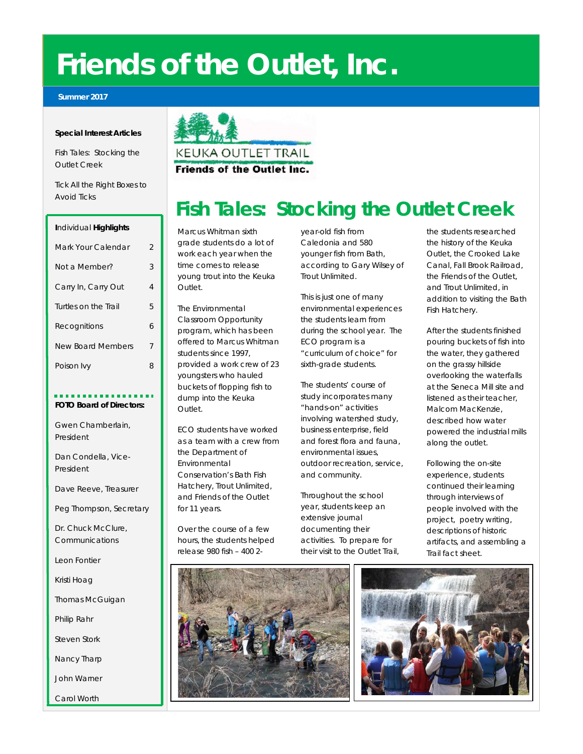# **Friends of the Outlet, Inc.**

#### **Summer 2017**

#### **Special Interest Articles**

Fish Tales: Stocking the Outlet Creek

Tick All the Right Boxes to Avoid Ticks

| Individual Highlights    |   |
|--------------------------|---|
| Mark Your Calendar       | 2 |
| Not a Member?            | 3 |
| Carry In, Carry Out      | 4 |
| Turtles on the Trail     | 5 |
| Recognitions             | 6 |
| <b>New Board Members</b> | 7 |
| Poison Ivy               | 8 |
|                          |   |

## **FOTO Board of Directors:**

Gwen Chamberlain, President

Dan Condella, Vice-President

Dave Reeve, Treasurer

Peg Thompson, Secretary

Dr. Chuck McClure, Communications

Leon Fontier

Kristi Hoag

Thomas McGuigan

Philip Rahr

Steven Stork

Nancy Tharp

John Warner

Carol Worth



# **Fish Tales: Stocking the Outlet Creek**

Marcus Whitman sixth grade students do a lot of work each year when the time comes to release young trout into the Keuka Outlet.

The Environmental Classroom Opportunity program, which has been offered to Marcus Whitman students since 1997, provided a work crew of 23 youngsters who hauled buckets of flopping fish to dump into the Keuka Outlet.

ECO students have worked as a team with a crew from the Department of Environmental Conservation's Bath Fish Hatchery, Trout Unlimited, and Friends of the Outlet for 11 years.

Over the course of a few hours, the students helped release 980 fish – 400 2year-old fish from Caledonia and 580 younger fish from Bath, according to Gary Wilsey of

environmental experiences the students learn from during the school year. The ECO program is a "curriculum of choice" for sixth-grade students.

The students' course of study incorporates many "hands-on" activities involving watershed study, business enterprise, field and forest flora and fauna, environmental issues, outdoor recreation, service, and community.

Throughout the school year, students keep an extensive journal documenting their activities. To prepare for their visit to the Outlet Trail,

the students researched the history of the Keuka Outlet, the Crooked Lake Canal, Fall Brook Railroad, the Friends of the Outlet, and Trout Unlimited, in addition to visiting the Bath Fish Hatchery.

After the students finished pouring buckets of fish into the water, they gathered on the grassy hillside overlooking the waterfalls at the Seneca Mill site and listened as their teacher, Malcom MacKenzie, described how water powered the industrial mills along the outlet.

Following the on-site experience, students continued their learning through interviews of people involved with the project, poetry writing, descriptions of historic artifacts, and assembling a Trail fact sheet.



Trout Unlimited. This is just one of many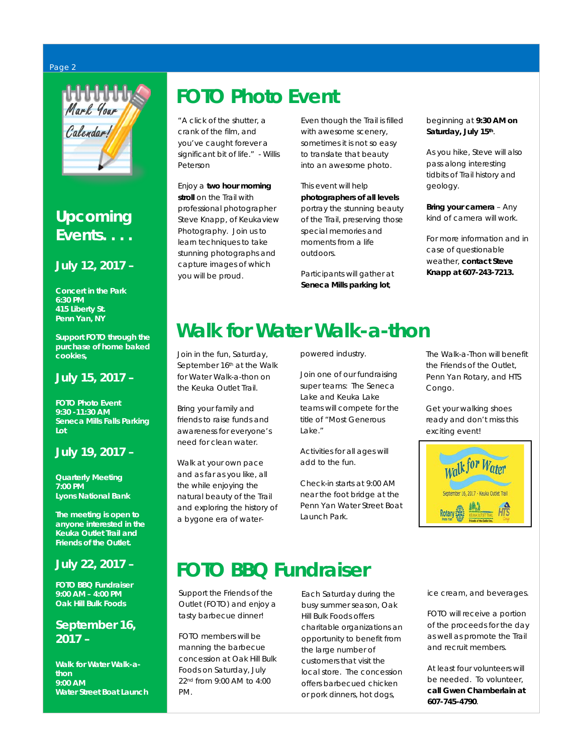#### Page 2



## **Upcoming Events. . . .**

## **July 12, 2017 –**

**Concert in the Park** *6:30 PM 415 Liberty St. Penn Yan, NY*

*Support FOTO through the purchase of home baked cookies,*

## **July 15, 2017 –**

**FOTO Photo Event** *9:30 -11:30 AM Seneca Mills Falls Parking Lot*

## **July 19, 2017 –**

**Quarterly Meeting** *7:00 PM Lyons National Bank*

*The meeting is open to anyone interested in the Keuka Outlet Trail and Friends of the Outlet.*

## **July 22, 2017 –**

**FOTO BBQ Fundraiser** *9:00 AM – 4:00 PM Oak Hill Bulk Foods*

## **September 16, 2017 –**

**Walk for Water Walk-athon** *9:00 AM Water Street Boat Launch* 

# *FOTO Photo Event*

"A click of the shutter, a crank of the film, and you've caught forever a significant bit of life." - Willis Peterson

Enjoy a **two hour morning stroll** on the Trail with professional photographer Steve Knapp, of Keukaview Photography. Join us to learn techniques to take stunning photographs and capture images of which you will be proud.

Even though the Trail is filled with awesome scenery, sometimes it is not so easy to translate that beauty into an awesome photo.

This event will help **photographers of all levels** portray the stunning beauty of the Trail, preserving those special memories and moments from a life outdoors.

Participants will gather at **Seneca Mills parking lot**,

beginning at **9:30 AM on Saturday, July 15th**.

As you hike, Steve will also pass along interesting tidbits of Trail history and geology.

**Bring your camera** – Any kind of camera will work.

For more information and in case of questionable weather, **contact Steve Knapp at 607-243-7213.**

# *Walk for Water Walk-a-thon*

Join in the fun, Saturday, September 16th at the Walk for Water Walk-a-thon on the Keuka Outlet Trail.

Bring your family and friends to raise funds and awareness for everyone's need for clean water.

Walk at your own pace and as far as you like, all the while enjoying the natural beauty of the Trail and exploring the history of a bygone era of waterpowered industry.

Join one of our fundraising super teams: The Seneca Lake and Keuka Lake teams will compete for the title of "Most Generous Lake."

Activities for all ages will add to the fun.

Check-in starts at 9:00 AM near the foot bridge at the Penn Yan Water Street Boat Launch Park.

The Walk-a-Thon will benefit the Friends of the Outlet. Penn Yan Rotary, and HTS Congo.

Get your walking shoes ready and don't miss this exciting event!



# **FOTO BBQ Fundraiser**

Support the Friends of the Outlet (FOTO) and enjoy a tasty barbecue dinner!

FOTO members will be manning the barbecue concession at Oak Hill Bulk Foods on Saturday, July 22nd from 9:00 AM to 4:00 PM.

Each Saturday during the busy summer season, Oak Hill Bulk Foods offers charitable organizations an opportunity to benefit from the large number of customers that visit the local store. The concession offers barbecued chicken or pork dinners, hot dogs,

ice cream, and beverages.

FOTO will receive a portion of the proceeds for the day as well as promote the Trail and recruit members.

At least four volunteers will be needed. To volunteer, **call Gwen Chamberlain at 607-745-4790**.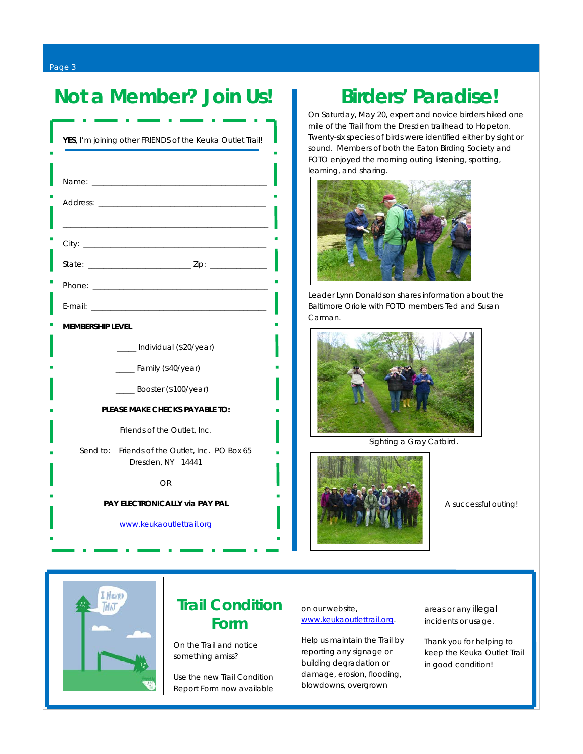Page 3

## Not a Member? Join Us! | Birders' Paradise!

| YES, I'm joining other FRIENDS of the Keuka Outlet Trail!           |  |
|---------------------------------------------------------------------|--|
|                                                                     |  |
|                                                                     |  |
|                                                                     |  |
|                                                                     |  |
|                                                                     |  |
|                                                                     |  |
| <b>MEMBERSHIP LEVEL</b>                                             |  |
| ____ Individual (\$20/year)                                         |  |
| ___ Family (\$40/year)                                              |  |
| $\frac{1}{2}$ Booster (\$100/year)                                  |  |
| PLEASE MAKE CHECKS PAYABLE TO:                                      |  |
| Friends of the Outlet, Inc.                                         |  |
| Send to: Friends of the Outlet, Inc. PO Box 65<br>Dresden, NY 14441 |  |
| OR                                                                  |  |
| <b>PAY ELECTRONICALLY via PAY PAL</b>                               |  |
| www.keukaoutlettrail.org                                            |  |

On Saturday, May 20, expert and novice birders hiked one mile of the Trail from the Dresden trailhead to Hopeton. Twenty-six species of birds were identified either by sight or sound. Members of both the Eaton Birding Society and FOTO enjoyed the morning outing listening, spotting, learning, and sharing.



*Leader Lynn Donaldson shares information about the Baltimore Oriole with FOTO members Ted and Susan Carman.*



 *Sighting a Gray Catbird.* 



 *A successful outing!* 



## **Trail Condition Form**

On the Trail and notice something amiss?

Use the new Trail Condition Report Form now available

 on our website, [www.keukaoutlettrail.org.](http://www.keukaoutlettrail.org/)

 reporting any signage or Help us maintain the Trail by building degradation or damage, erosion, flooding, blowdowns, overgrown

areas or any illegal incidents or usage.

Thank you for helping to keep the Keuka Outlet Trail in good condition!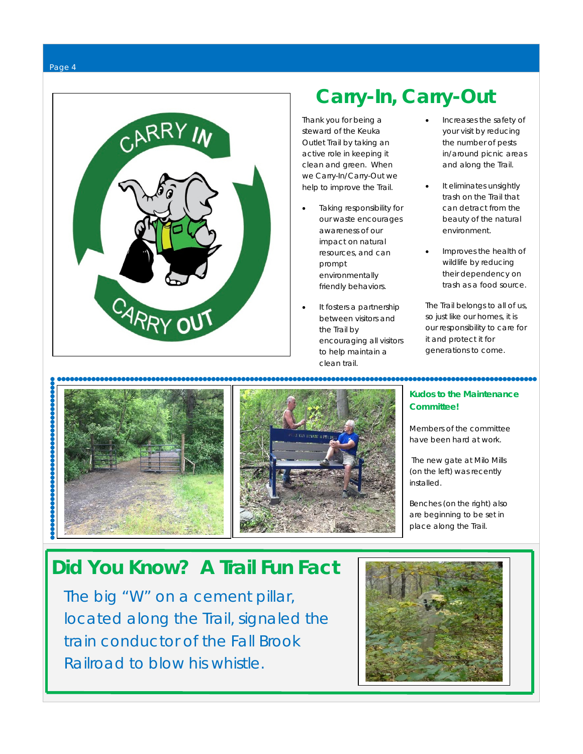



# **Carry-In, Carry-Out**

Thank you for being a steward of the Keuka Outlet Trail by taking an active role in keeping it clean and green. When we Carry-In/Carry-Out we help to improve the Trail.

- Taking responsibility for our waste encourages awareness of our impact on natural resources, and can prompt environmentally friendly behaviors.
- It fosters a partnership between visitors and the Trail by encouraging all visitors to help maintain a clean trail.
- Increases the safety of your visit by reducing the number of pests in/around picnic areas and along the Trail.
- It eliminates unsightly trash on the Trail that can detract from the beauty of the natural environment.
- Improves the health of wildlife by reducing their dependency on trash as a food source.

The Trail belongs to all of us, so just like our homes, it is our responsibility to care for it and protect it for generations to come.

,,,,,,,,,,,,,,,,,,,,,,,,,





### **Kudos to the Maintenance Committee!**

Members of the committee have been hard at work.

The new gate at Milo Mills (on the left) was recently installed.

Benches (on the right) also are beginning to be set in place along the Trail.

# **Did You Know? A Trail Fun Fact**

The big "W" on a cement pillar, located along the Trail, signaled the train conductor of the Fall Brook Railroad to blow his whistle.

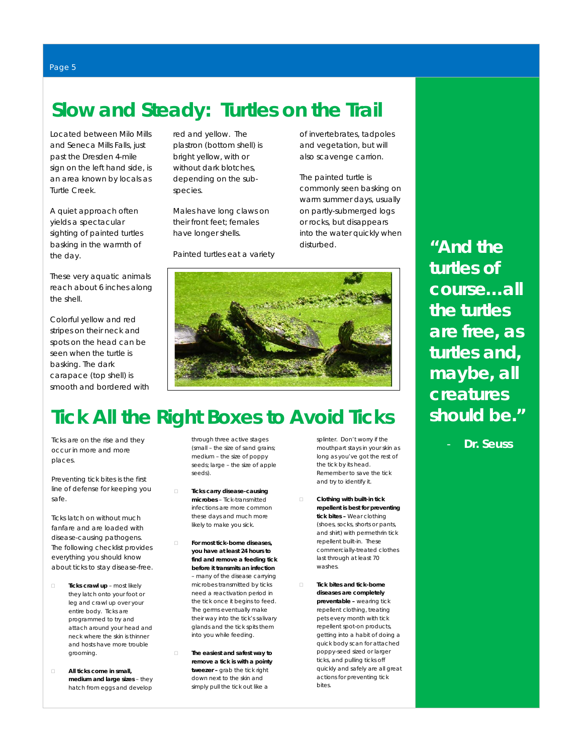# **Slow and Steady: Turtles on the Trail**

Located between Milo Mills and Seneca Mills Falls, just past the Dresden 4-mile sign on the left hand side, is an area known by locals as Turtle Creek.

A quiet approach often yields a spectacular sighting of painted turtles basking in the warmth of the day.

These very aquatic animals reach about 6 inches along the shell.

Colorful yellow and red stripes on their neck and spots on the head can be seen when the turtle is basking. The dark carapace (top shell) is smooth and bordered with red and yellow. The plastron (bottom shell) is bright yellow, with or without dark blotches, depending on the subspecies.

Males have long claws on their front feet; females have longer shells.

Painted turtles eat a variety

of invertebrates, tadpoles and vegetation, but will also scavenge carrion.

The painted turtle is commonly seen basking on warm summer days, usually on partly-submerged logs or rocks, but disappears into the water quickly when disturbed.



# **Tick All the Right Boxes to Avoid Ticks**

Ticks are on the rise and they occur in more and more places.

Preventing tick bites is the first line of defense for keeping you safe.

Ticks latch on without much fanfare and are loaded with disease-causing pathogens. The following checklist provides everything you should know about ticks to stay disease-free.

- **Ticks crawl up** most likely they latch onto your foot or leg and crawl up over your entire body. Ticks are programmed to try and attach around your head and neck where the skin is thinner and hosts have more trouble grooming.
- **All ticks come in small, medium and large sizes** – they hatch from eggs and develop

through three active stages (small – the size of sand grains; medium – the size of poppy seeds; large – the size of apple seeds).

- **Ticks carry disease-causing microbes** – Tick-transmitted infections are more common these days and much more likely to make you sick.
	- **For most tick-borne diseases, you have at least 24 hours to find and remove a feeding tick before it transmits an infection** – many of the disease carrying microbes transmitted by ticks need a reactivation period in the tick once it begins to feed. The germs eventually make their way into the tick's salivary glands and the tick spits them into you while feeding.
	- **The easiest and safest way to remove a tick is with a pointy tweezer –** grab the tick right down next to the skin and simply pull the tick out like a

splinter. Don't worry if the mouthpart stays in your skin as long as you've got the rest of the tick by its head. Remember to save the tick and try to identify it.

- **Clothing with built-in tick repellent is best for preventing tick bites –** Wear clothing (shoes, socks, shorts or pants, and shirt) with permethrin tick repellent built-in. These commercially-treated clothes last through at least 70 washes.
- **Tick bites and tick-borne diseases are completely preventable –** wearing tick repellent clothing, treating pets every month with tick repellent spot-on products, getting into a habit of doing a quick body scan for attached poppy-seed sized or larger ticks, and pulling ticks off quickly and safely are all great actions for preventing tick bites.

**"And the turtles of course…all the turtles are free, as turtles and, maybe, all creatures should be."**

- **Dr. Seuss**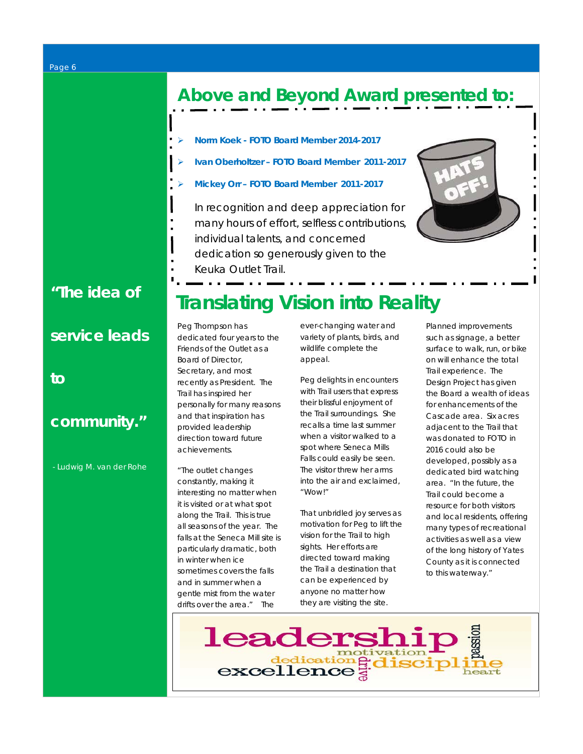# **Above and Beyond Award presented to:**

ļ

- **Norm Koek - FOTO Board Member 2014-2017**
- **Ivan Oberholtzer – FOTO Board Member 2011-2017**
- **Mickey Orr – FOTO Board Member 2011-2017**

*In recognition and deep appreciation for many hours of effort, selfless contributions, individual talents, and concerned* 

- *dedication so generously given to the*
- *Keuka Outlet Trail.*

## *"The idea of*

*service leads* 

*to* 

## *community."*

*- Ludwig M. van der Rohe* 

# **Translating Vision into Reality**

Peg Thompson has dedicated four years to the Friends of the Outlet as a Board of Director, Secretary, and most recently as President. The Trail has inspired her personally for many reasons and that inspiration has provided leadership direction toward future achievements.

"The outlet changes constantly, making it interesting no matter when it is visited or at what spot along the Trail. This is true all seasons of the year. The falls at the Seneca Mill site is particularly dramatic, both in winter when ice sometimes covers the falls and in summer when a gentle mist from the water drifts over the area." The

ever-changing water and variety of plants, birds, and wildlife complete the appeal.

Peg delights in encounters with Trail users that express their blissful enjoyment of the Trail surroundings. She recalls a time last summer when a visitor walked to a spot where Seneca Mills Falls could easily be seen. The visitor threw her arms into the air and exclaimed, "Wow!"

That unbridled joy serves as motivation for Peg to lift the vision for the Trail to high sights. Her efforts are directed toward making the Trail a destination that can be experienced by anyone no matter how they are visiting the site.

Planned improvements such as signage, a better surface to walk, run, or bike on will enhance the total Trail experience. The Design Project has given the Board a wealth of ideas for enhancements of the Cascade area. Six acres adjacent to the Trail that was donated to FOTO in 2016 could also be developed, possibly as a dedicated bird watching area. "In the future, the Trail could become a resource for both visitors and local residents, offering many types of recreational activities as well as a view of the long history of Yates County as it is connected to this waterway."

leaders dedication<br>excellence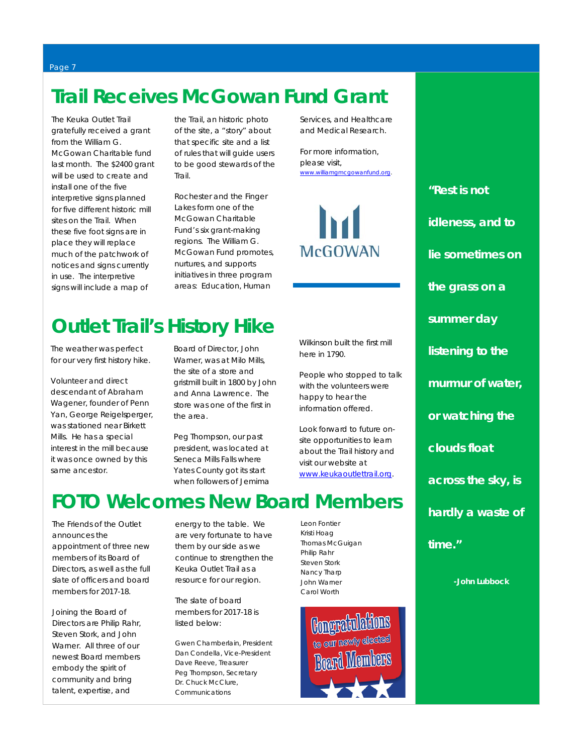# **Trail Receives McGowan Fund Grant**

The Keuka Outlet Trail gratefully received a grant from the William G. McGowan Charitable fund last month. The \$2400 grant will be used to create and install one of the five interpretive signs planned for five different historic mill sites on the Trail. When these five foot signs are in place they will replace much of the patchwork of notices and signs currently in use. The interpretive signs will include a map of

the Trail, an historic photo of the site, a "story" about that specific site and a list of rules that will guide users to be good stewards of the Trail.

Rochester and the Finger Lakes form one of the McGowan Charitable Fund's six grant-making regions. The William G. McGowan Fund promotes, nurtures, and supports initiatives in three program areas: Education, Human

Services, and Healthcare and Medical Research.

For more information, please visit, [www.williamgmcgowanfund.org.](http://www.williamgmcgowanfund.org/)



Wilkinson built the first mill

People who stopped to talk with the volunteers were happy to hear the information offered.

Look forward to future onsite opportunities to learn about the Trail history and visit our website at [www.keukaoutlettrail.org.](http://www.keukaoutlettrail.org/)

here in 1790.

*"Rest is not idleness, and to lie sometimes on the grass on a summer day listening to the murmur of water, or watching the clouds float across the sky, is hardly a waste of time."*

 *-John Lubbock*

# **Outlet Trail's History Hike**

The weather was perfect for our very first history hike.

Volunteer and direct descendant of Abraham Wagener, founder of Penn Yan, George Reigelsperger, was stationed near Birkett Mills. He has a special interest in the mill because it was once owned by this same ancestor.

Board of Director, John Warner, was at Milo Mills, the site of a store and gristmill built in 1800 by John and Anna Lawrence. The store was one of the first in the area.

Peg Thompson, our past president, was located at Seneca Mills Falls where Yates County got its start when followers of Jemima

# **FOTO Welcomes New Board Members**

The Friends of the Outlet announces the appointment of three new members of its Board of Directors, as well as the full slate of officers and board members for 2017-18.

Joining the Board of Directors are Philip Rahr, Steven Stork, and John Warner. All three of our newest Board members embody the spirit of community and bring talent, expertise, and

energy to the table. We are very fortunate to have them by our side as we continue to strengthen the Keuka Outlet Trail as a resource for our region.

The slate of board members for 2017-18 is listed below:

Gwen Chamberlain, President Dan Condella, Vice-President Dave Reeve, Treasurer Peg Thompson, Secretary Dr. Chuck McClure, Communications

Leon Fontier Kristi Hoag Thomas McGuigan Philip Rahr Steven Stork Nancy Tharp John Warner Carol Worth